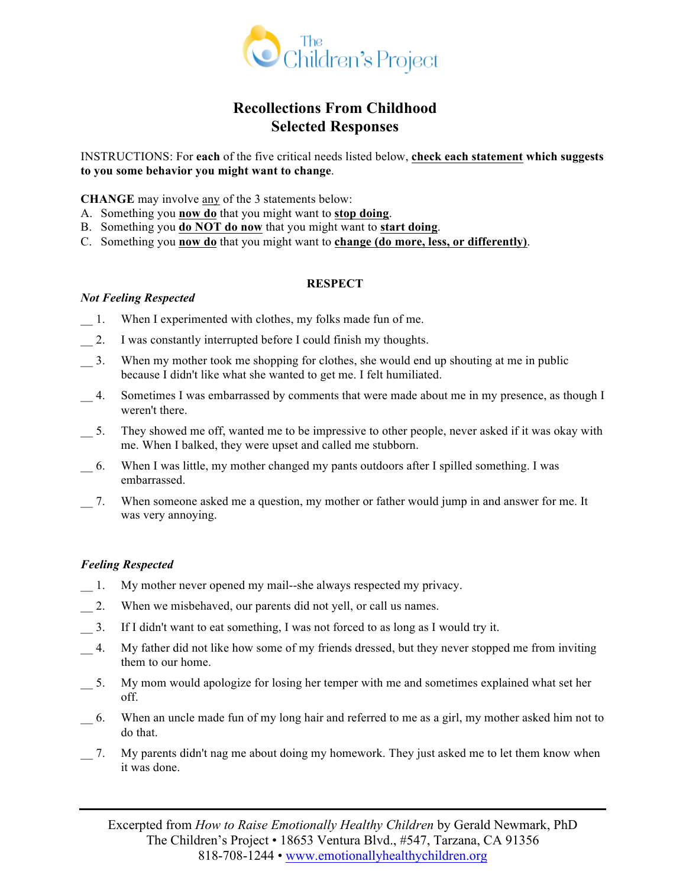

# **Recollections From Childhood Selected Responses**

INSTRUCTIONS: For **each** of the five critical needs listed below, **check each statement which suggests to you some behavior you might want to change**.

**CHANGE** may involve any of the 3 statements below:

- A. Something you **now do** that you might want to **stop doing**.
- B. Something you **do NOT do now** that you might want to **start doing**.
- C. Something you **now do** that you might want to **change (do more, less, or differently)**.

#### **RESPECT**

#### *Not Feeling Respected*

- \_\_ 1. When I experimented with clothes, my folks made fun of me.
- 2. I was constantly interrupted before I could finish my thoughts.
- \_\_ 3. When my mother took me shopping for clothes, she would end up shouting at me in public because I didn't like what she wanted to get me. I felt humiliated.
- \_\_ 4. Sometimes I was embarrassed by comments that were made about me in my presence, as though I weren't there.
- \_\_ 5. They showed me off, wanted me to be impressive to other people, never asked if it was okay with me. When I balked, they were upset and called me stubborn.
- \_\_ 6. When I was little, my mother changed my pants outdoors after I spilled something. I was embarrassed.
- \_\_ 7. When someone asked me a question, my mother or father would jump in and answer for me. It was very annoying.

#### *Feeling Respected*

- \_\_ 1. My mother never opened my mail--she always respected my privacy.
- 1. 2. When we misbehaved, our parents did not yell, or call us names.
- \_\_ 3. If I didn't want to eat something, I was not forced to as long as I would try it.
- \_\_ 4. My father did not like how some of my friends dressed, but they never stopped me from inviting them to our home.
- \_\_ 5. My mom would apologize for losing her temper with me and sometimes explained what set her off.
- \_\_ 6. When an uncle made fun of my long hair and referred to me as a girl, my mother asked him not to do that.
- \_\_ 7. My parents didn't nag me about doing my homework. They just asked me to let them know when it was done.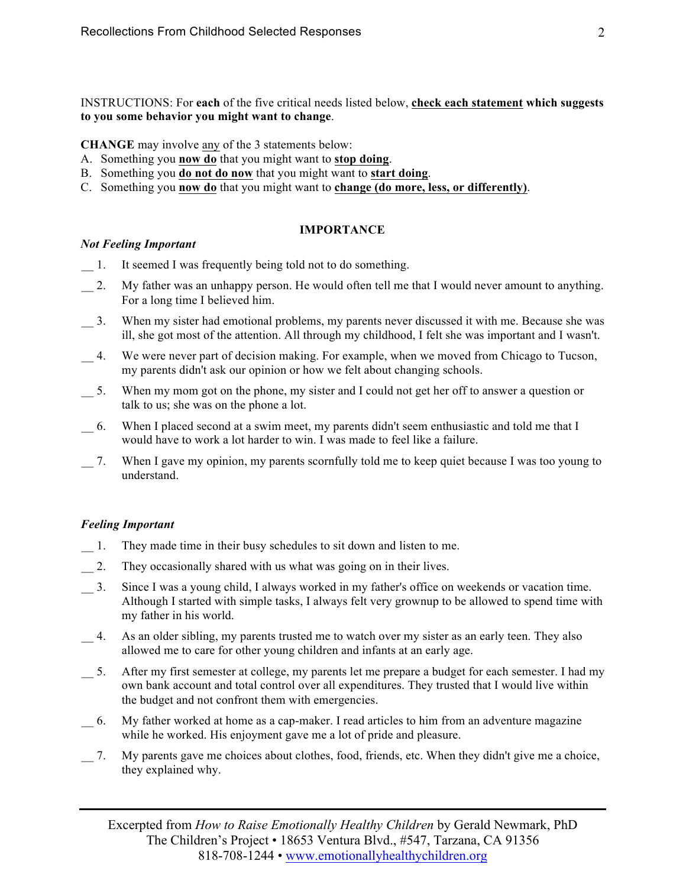**CHANGE** may involve any of the 3 statements below:

- A. Something you **now do** that you might want to **stop doing**.
- B. Something you **do not do now** that you might want to **start doing**.
- C. Something you **now do** that you might want to **change (do more, less, or differently)**.

#### **IMPORTANCE**

#### *Not Feeling Important*

- 1. It seemed I was frequently being told not to do something.
- \_\_ 2. My father was an unhappy person. He would often tell me that I would never amount to anything. For a long time I believed him.
- \_\_ 3. When my sister had emotional problems, my parents never discussed it with me. Because she was ill, she got most of the attention. All through my childhood, I felt she was important and I wasn't.
- \_\_ 4. We were never part of decision making. For example, when we moved from Chicago to Tucson, my parents didn't ask our opinion or how we felt about changing schools.
- \_\_ 5. When my mom got on the phone, my sister and I could not get her off to answer a question or talk to us; she was on the phone a lot.
- \_\_ 6. When I placed second at a swim meet, my parents didn't seem enthusiastic and told me that I would have to work a lot harder to win. I was made to feel like a failure.
- \_\_ 7. When I gave my opinion, my parents scornfully told me to keep quiet because I was too young to understand.

# *Feeling Important*

- \_\_ 1. They made time in their busy schedules to sit down and listen to me.
- 2. They occasionally shared with us what was going on in their lives.
- \_\_ 3. Since I was a young child, I always worked in my father's office on weekends or vacation time. Although I started with simple tasks, I always felt very grownup to be allowed to spend time with my father in his world.
- 4. As an older sibling, my parents trusted me to watch over my sister as an early teen. They also allowed me to care for other young children and infants at an early age.
- \_\_ 5. After my first semester at college, my parents let me prepare a budget for each semester. I had my own bank account and total control over all expenditures. They trusted that I would live within the budget and not confront them with emergencies.
- \_\_ 6. My father worked at home as a cap-maker. I read articles to him from an adventure magazine while he worked. His enjoyment gave me a lot of pride and pleasure.
- \_\_ 7. My parents gave me choices about clothes, food, friends, etc. When they didn't give me a choice, they explained why.

Excerpted from *How to Raise Emotionally Healthy Children* by Gerald Newmark, PhD The Children's Project • 18653 Ventura Blvd., #547, Tarzana, CA 91356 818-708-1244 • www.emotionallyhealthychildren.org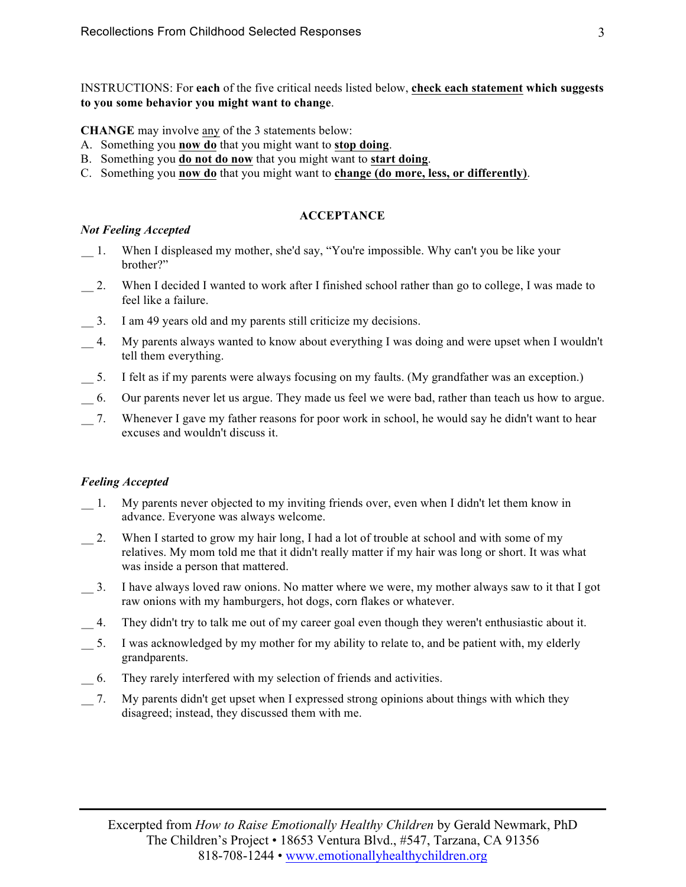**CHANGE** may involve any of the 3 statements below:

- A. Something you **now do** that you might want to **stop doing**.
- B. Something you **do not do now** that you might want to **start doing**.
- C. Something you **now do** that you might want to **change (do more, less, or differently)**.

## **ACCEPTANCE**

## *Not Feeling Accepted*

- \_\_ 1. When I displeased my mother, she'd say, "You're impossible. Why can't you be like your brother?"
- \_\_ 2. When I decided I wanted to work after I finished school rather than go to college, I was made to feel like a failure.
- \_\_ 3. I am 49 years old and my parents still criticize my decisions.
- \_\_ 4. My parents always wanted to know about everything I was doing and were upset when I wouldn't tell them everything.
- \_\_ 5. I felt as if my parents were always focusing on my faults. (My grandfather was an exception.)
- \_\_ 6. Our parents never let us argue. They made us feel we were bad, rather than teach us how to argue.
- \_\_ 7. Whenever I gave my father reasons for poor work in school, he would say he didn't want to hear excuses and wouldn't discuss it.

# *Feeling Accepted*

- \_\_ 1. My parents never objected to my inviting friends over, even when I didn't let them know in advance. Everyone was always welcome.
- 2. When I started to grow my hair long, I had a lot of trouble at school and with some of my relatives. My mom told me that it didn't really matter if my hair was long or short. It was what was inside a person that mattered.
- \_\_ 3. I have always loved raw onions. No matter where we were, my mother always saw to it that I got raw onions with my hamburgers, hot dogs, corn flakes or whatever.
- \_\_ 4. They didn't try to talk me out of my career goal even though they weren't enthusiastic about it.
- \_\_ 5. I was acknowledged by my mother for my ability to relate to, and be patient with, my elderly grandparents.
- \_\_ 6. They rarely interfered with my selection of friends and activities.
- \_\_ 7. My parents didn't get upset when I expressed strong opinions about things with which they disagreed; instead, they discussed them with me.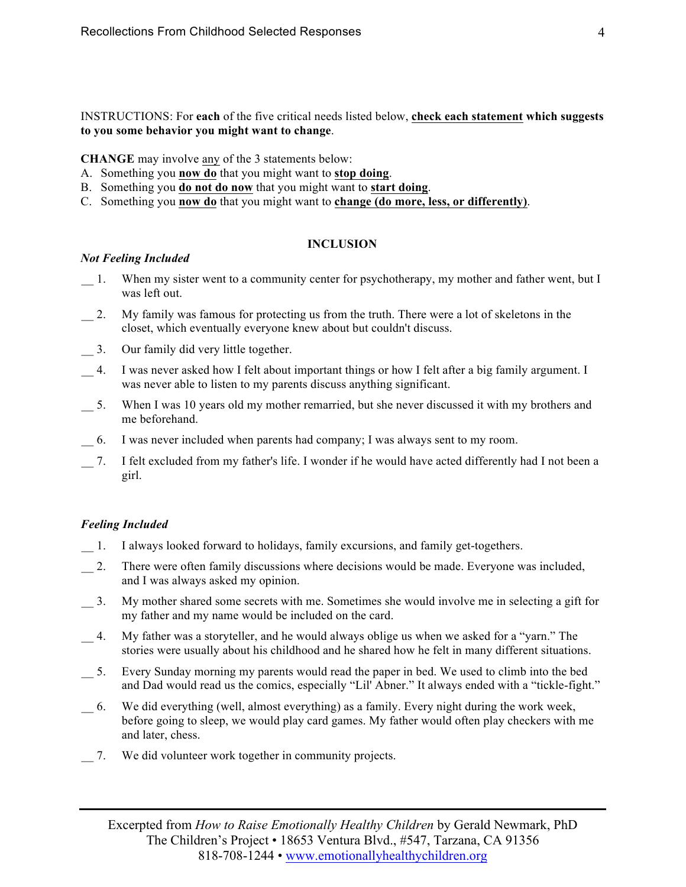**CHANGE** may involve any of the 3 statements below:

- A. Something you **now do** that you might want to **stop doing**.
- B. Something you **do not do now** that you might want to **start doing**.
- C. Something you **now do** that you might want to **change (do more, less, or differently)**.

# **INCLUSION**

## *Not Feeling Included*

- \_\_ 1. When my sister went to a community center for psychotherapy, my mother and father went, but I was left out.
- 2. My family was famous for protecting us from the truth. There were a lot of skeletons in the closet, which eventually everyone knew about but couldn't discuss.
- \_\_ 3. Our family did very little together.
- \_\_ 4. I was never asked how I felt about important things or how I felt after a big family argument. I was never able to listen to my parents discuss anything significant.
- \_\_ 5. When I was 10 years old my mother remarried, but she never discussed it with my brothers and me beforehand.
- \_\_ 6. I was never included when parents had company; I was always sent to my room.
- \_\_ 7. I felt excluded from my father's life. I wonder if he would have acted differently had I not been a girl.

# *Feeling Included*

- \_\_ 1. I always looked forward to holidays, family excursions, and family get-togethers.
- 2. There were often family discussions where decisions would be made. Everyone was included, and I was always asked my opinion.
- \_\_ 3. My mother shared some secrets with me. Sometimes she would involve me in selecting a gift for my father and my name would be included on the card.
- \_\_ 4. My father was a storyteller, and he would always oblige us when we asked for a "yarn." The stories were usually about his childhood and he shared how he felt in many different situations.
- \_\_ 5. Every Sunday morning my parents would read the paper in bed. We used to climb into the bed and Dad would read us the comics, especially "Lil' Abner." It always ended with a "tickle-fight."
- \_\_ 6. We did everything (well, almost everything) as a family. Every night during the work week, before going to sleep, we would play card games. My father would often play checkers with me and later, chess.
- \_\_ 7. We did volunteer work together in community projects.